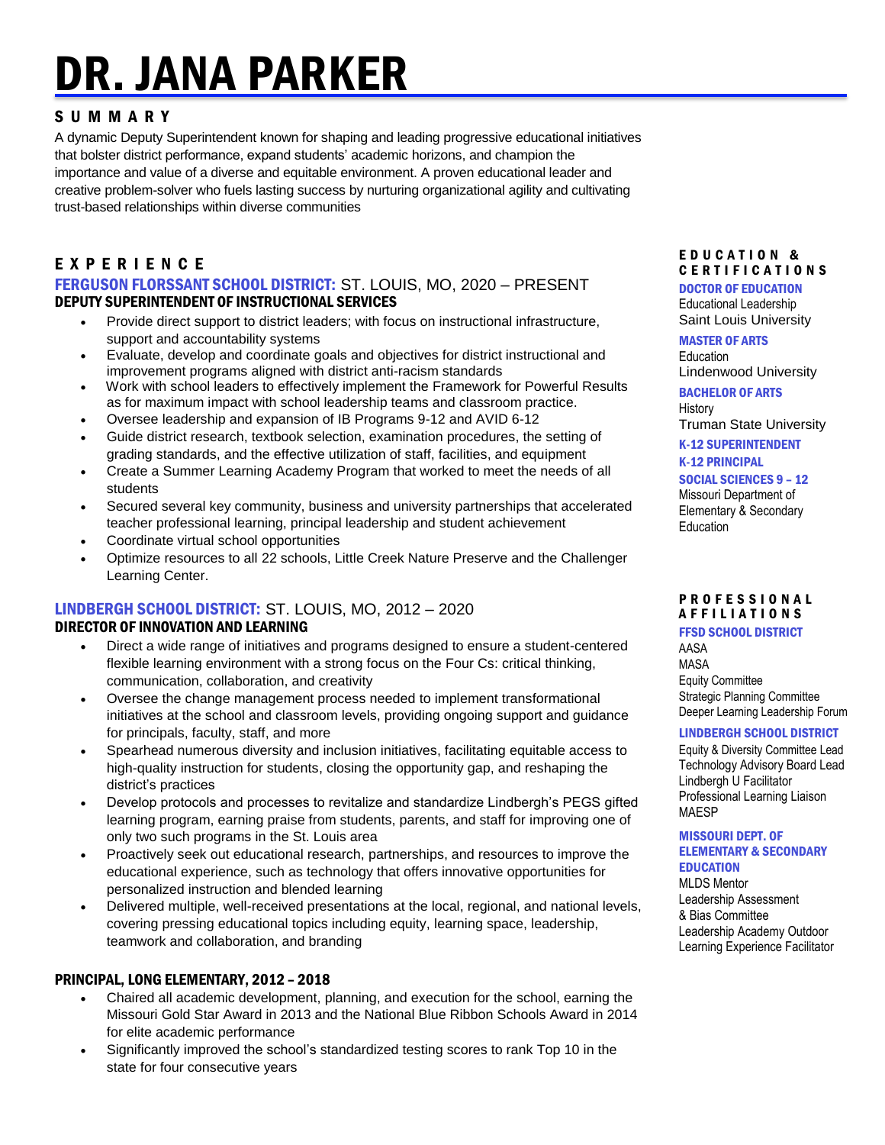# DR. JANA PARKER

# S U M M A R Y

A dynamic Deputy Superintendent known for shaping and leading progressive educational initiatives that bolster district performance, expand students' academic horizons, and champion the importance and value of a diverse and equitable environment. A proven educational leader and creative problem-solver who fuels lasting success by nurturing organizational agility and cultivating trust-based relationships within diverse communities

# E X P E R I E N C E

FERGUSON FLORSSANT SCHOOL DISTRICT: ST. LOUIS, MO, 2020 – PRESENT DEPUTY SUPERINTENDENT OF INSTRUCTIONAL SERVICES

- Provide direct support to district leaders; with focus on instructional infrastructure, support and accountability systems
- Evaluate, develop and coordinate goals and objectives for district instructional and improvement programs aligned with district anti-racism standards
- Work with school leaders to effectively implement the Framework for Powerful Results as for maximum impact with school leadership teams and classroom practice.
- Oversee leadership and expansion of IB Programs 9-12 and AVID 6-12
- Guide district research, textbook selection, examination procedures, the setting of grading standards, and the effective utilization of staff, facilities, and equipment
- Create a Summer Learning Academy Program that worked to meet the needs of all students
- Secured several key community, business and university partnerships that accelerated teacher professional learning, principal leadership and student achievement
- Coordinate virtual school opportunities
- Optimize resources to all 22 schools, Little Creek Nature Preserve and the Challenger Learning Center.

# LINDBERGH SCHOOL DISTRICT: ST. LOUIS, MO, 2012 – 2020 DIRECTOR OF INNOVATION AND LEARNING

- Direct a wide range of initiatives and programs designed to ensure a student-centered flexible learning environment with a strong focus on the Four Cs: critical thinking, communication, collaboration, and creativity
- Oversee the change management process needed to implement transformational initiatives at the school and classroom levels, providing ongoing support and guidance for principals, faculty, staff, and more
- Spearhead numerous diversity and inclusion initiatives, facilitating equitable access to high-quality instruction for students, closing the opportunity gap, and reshaping the district's practices
- Develop protocols and processes to revitalize and standardize Lindbergh's PEGS gifted learning program, earning praise from students, parents, and staff for improving one of only two such programs in the St. Louis area
- Proactively seek out educational research, partnerships, and resources to improve the educational experience, such as technology that offers innovative opportunities for personalized instruction and blended learning
- Delivered multiple, well-received presentations at the local, regional, and national levels, covering pressing educational topics including equity, learning space, leadership, teamwork and collaboration, and branding

# PRINCIPAL, LONG ELEMENTARY, 2012 – 2018

- Chaired all academic development, planning, and execution for the school, earning the Missouri Gold Star Award in 2013 and the National Blue Ribbon Schools Award in 2014 for elite academic performance
- Significantly improved the school's standardized testing scores to rank Top 10 in the state for four consecutive years

#### E D U C A T I O N & C E R T I F I C A T I O N S

DOCTOR OF EDUCATION Educational Leadership

Saint Louis University

#### MASTER OF ARTS

Education Lindenwood University BACHELOR OF ARTS

**History** 

Truman State University

K-12 SUPERINTENDENT

K-12 PRINCIPAL

SOCIAL SCIENCES 9 – 12

Missouri Department of Elementary & Secondary Education

#### PROFESSIONAL A F F I L I A T I O N S

#### FFSD SCHOOL DISTRICT

AASA MASA Equity Committee Strategic Planning Committee Deeper Learning Leadership Forum

# LINDBERGH SCHOOL DISTRICT

Equity & Diversity Committee Lead Technology Advisory Board Lead Lindbergh U Facilitator Professional Learning Liaison MAESP

#### MISSOURI DEPT. OF ELEMENTARY & SECONDARY **EDUCATION**

MLDS Mentor Leadership Assessment & Bias Committee Leadership Academy Outdoor Learning Experience Facilitator